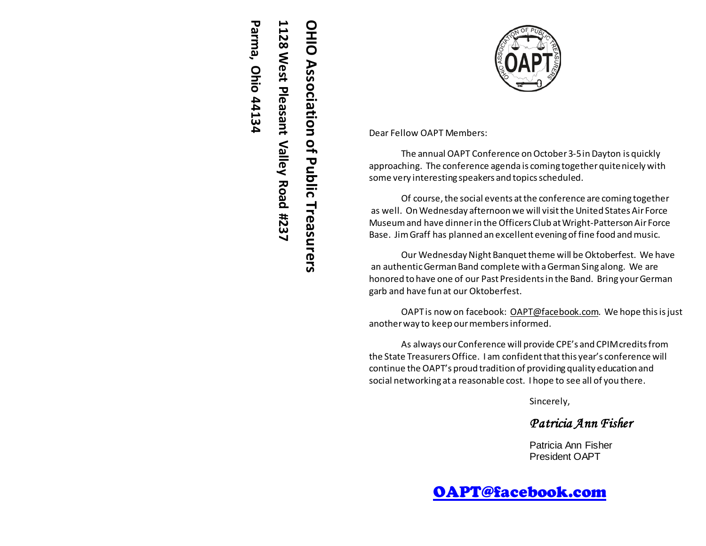# **1128 West Pleasant Valley Road #237** OHIO Association of Public Treasurers **OHIO Association of Public Treasurers**.128 West Pleasant Valley Road #237

**Parma, Ohio 44134**

Parma, Ohio 44134

Dear Fellow OAPT Members:

The annual OAPT Conference on October 3-5 in Dayton is quickly approaching. The conference agenda is coming together quite nicely with some very interesting speakers and topics scheduled.

Of course, the social events at the conference are coming together as well. On Wednesday afternoon we will visit the United States Air Force Museum and have dinner in the Officers Club at Wright-Patterson Air Force Base. JimGraff has planned an excellent evening of fine food and music.

Our Wednesday Night Banquet theme will be Oktoberfest. We have an authentic German Band complete with a German Sing along. We are honored to have one of our Past Presidents in the Band. Bring your German garb and have fun at our Oktoberfest.

OAPT is now on facebook: [OAPT@facebook.com](mailto:OAPT@facebook.com). We hope this is just another way to keep our members informed.

As always our Conference will provide CPE's and CPIM credits from the State Treasurers Office. I am confident that this year's conference will continue the OAPT's proud tradition of providing quality education and social networking at a reasonable cost. I hope to see all of you there.

Sincerely,

*Patricia Ann Fisher*

Patricia Ann Fisher President OAPT